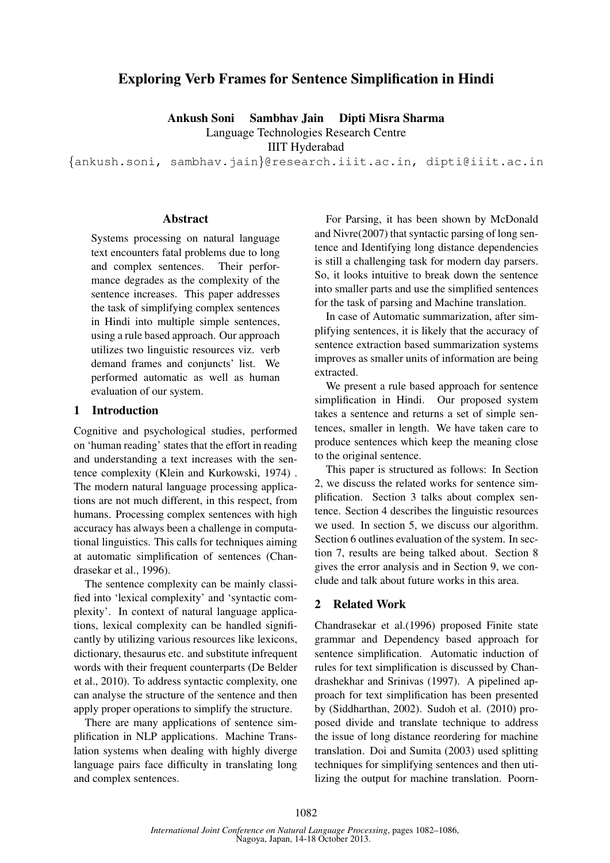# Exploring Verb Frames for Sentence Simplification in Hindi

Ankush Soni Sambhav Jain Dipti Misra Sharma

Language Technologies Research Centre

IIIT Hyderabad

{ankush.soni, sambhav.jain}@research.iiit.ac.in, dipti@iiit.ac.in

### Abstract

Systems processing on natural language text encounters fatal problems due to long and complex sentences. Their performance degrades as the complexity of the sentence increases. This paper addresses the task of simplifying complex sentences in Hindi into multiple simple sentences, using a rule based approach. Our approach utilizes two linguistic resources viz. verb demand frames and conjuncts' list. We performed automatic as well as human evaluation of our system.

#### 1 Introduction

Cognitive and psychological studies, performed on 'human reading' states that the effort in reading and understanding a text increases with the sentence complexity (Klein and Kurkowski, 1974) . The modern natural language processing applications are not much different, in this respect, from humans. Processing complex sentences with high accuracy has always been a challenge in computational linguistics. This calls for techniques aiming at automatic simplification of sentences (Chandrasekar et al., 1996).

The sentence complexity can be mainly classified into 'lexical complexity' and 'syntactic complexity'. In context of natural language applications, lexical complexity can be handled significantly by utilizing various resources like lexicons, dictionary, thesaurus etc. and substitute infrequent words with their frequent counterparts (De Belder et al., 2010). To address syntactic complexity, one can analyse the structure of the sentence and then apply proper operations to simplify the structure.

There are many applications of sentence simplification in NLP applications. Machine Translation systems when dealing with highly diverge language pairs face difficulty in translating long and complex sentences.

For Parsing, it has been shown by McDonald and Nivre(2007) that syntactic parsing of long sentence and Identifying long distance dependencies is still a challenging task for modern day parsers. So, it looks intuitive to break down the sentence into smaller parts and use the simplified sentences for the task of parsing and Machine translation.

In case of Automatic summarization, after simplifying sentences, it is likely that the accuracy of sentence extraction based summarization systems improves as smaller units of information are being extracted.

We present a rule based approach for sentence simplification in Hindi. Our proposed system takes a sentence and returns a set of simple sentences, smaller in length. We have taken care to produce sentences which keep the meaning close to the original sentence.

This paper is structured as follows: In Section 2, we discuss the related works for sentence simplification. Section 3 talks about complex sentence. Section 4 describes the linguistic resources we used. In section 5, we discuss our algorithm. Section 6 outlines evaluation of the system. In section 7, results are being talked about. Section 8 gives the error analysis and in Section 9, we conclude and talk about future works in this area.

### 2 Related Work

Chandrasekar et al.(1996) proposed Finite state grammar and Dependency based approach for sentence simplification. Automatic induction of rules for text simplification is discussed by Chandrashekhar and Srinivas (1997). A pipelined approach for text simplification has been presented by (Siddharthan, 2002). Sudoh et al. (2010) proposed divide and translate technique to address the issue of long distance reordering for machine translation. Doi and Sumita (2003) used splitting techniques for simplifying sentences and then utilizing the output for machine translation. Poorn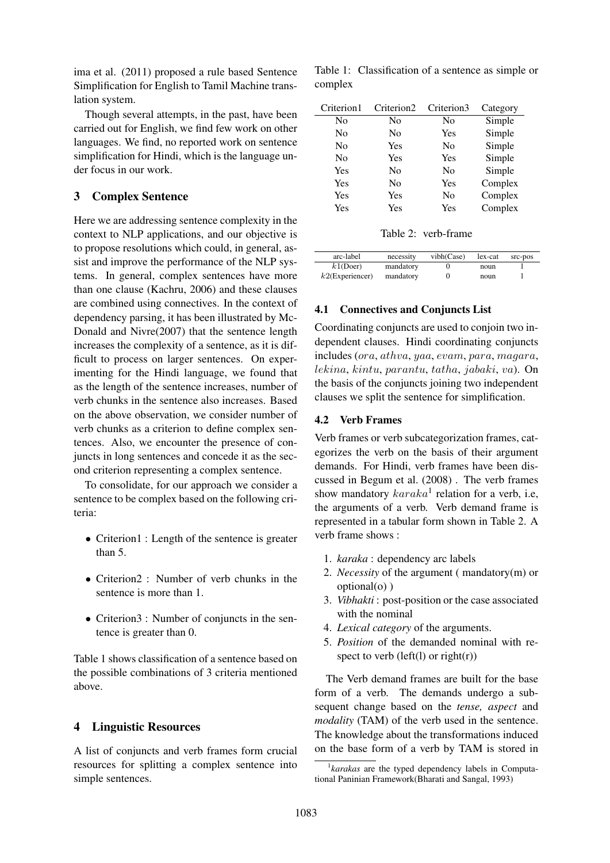ima et al. (2011) proposed a rule based Sentence Simplification for English to Tamil Machine translation system.

Though several attempts, in the past, have been carried out for English, we find few work on other languages. We find, no reported work on sentence simplification for Hindi, which is the language under focus in our work.

# 3 Complex Sentence

Here we are addressing sentence complexity in the context to NLP applications, and our objective is to propose resolutions which could, in general, assist and improve the performance of the NLP systems. In general, complex sentences have more than one clause (Kachru, 2006) and these clauses are combined using connectives. In the context of dependency parsing, it has been illustrated by Mc-Donald and Nivre(2007) that the sentence length increases the complexity of a sentence, as it is difficult to process on larger sentences. On experimenting for the Hindi language, we found that as the length of the sentence increases, number of verb chunks in the sentence also increases. Based on the above observation, we consider number of verb chunks as a criterion to define complex sentences. Also, we encounter the presence of conjuncts in long sentences and concede it as the second criterion representing a complex sentence.

To consolidate, for our approach we consider a sentence to be complex based on the following criteria:

- Criterion1 : Length of the sentence is greater than 5.
- Criterion2 : Number of verb chunks in the sentence is more than 1.
- Criterion3 : Number of conjuncts in the sentence is greater than 0.

Table 1 shows classification of a sentence based on the possible combinations of 3 criteria mentioned above.

### 4 Linguistic Resources

A list of conjuncts and verb frames form crucial resources for splitting a complex sentence into simple sentences.

Table 1: Classification of a sentence as simple or complex

| Criterion1 | Criterion <sub>2</sub> | Criterion3 | Category |
|------------|------------------------|------------|----------|
| No         | No                     | No         | Simple   |
| No         | No                     | Yes        | Simple   |
| No         | Yes                    | No         | Simple   |
| No         | Yes                    | Yes        | Simple   |
| Yes        | No                     | No         | Simple   |
| Yes        | No                     | Yes        | Complex  |
| Yes        | Yes                    | No         | Complex  |
| Yes        | Yes                    | Yes        | Complex  |

| Table 2: verb-frame |
|---------------------|
|                     |

| arc-label          | necessity | vibh(Case) | lex-cat | src-pos |
|--------------------|-----------|------------|---------|---------|
| $k1$ (Doer)        | mandatory |            | noun    |         |
| $k2$ (Experiencer) | mandatory |            | noun    |         |

### 4.1 Connectives and Conjuncts List

Coordinating conjuncts are used to conjoin two independent clauses. Hindi coordinating conjuncts includes (ora, athva, yaa, evam, para, magara, lekina, kintu, parantu, tatha, jabaki, va). On the basis of the conjuncts joining two independent clauses we split the sentence for simplification.

#### 4.2 Verb Frames

Verb frames or verb subcategorization frames, categorizes the verb on the basis of their argument demands. For Hindi, verb frames have been discussed in Begum et al. (2008) . The verb frames show mandatory  $karaka<sup>1</sup>$  relation for a verb, i.e, the arguments of a verb. Verb demand frame is represented in a tabular form shown in Table 2. A verb frame shows :

- 1. *karaka* : dependency arc labels
- 2. *Necessity* of the argument ( mandatory(m) or optional(o) )
- 3. *Vibhakti* : post-position or the case associated with the nominal
- 4. *Lexical category* of the arguments.
- 5. *Position* of the demanded nominal with respect to verb (left(l) or right(r))

The Verb demand frames are built for the base form of a verb. The demands undergo a subsequent change based on the *tense, aspect* and *modality* (TAM) of the verb used in the sentence. The knowledge about the transformations induced on the base form of a verb by TAM is stored in

<sup>&</sup>lt;sup>1</sup> karakas are the typed dependency labels in Computational Paninian Framework(Bharati and Sangal, 1993)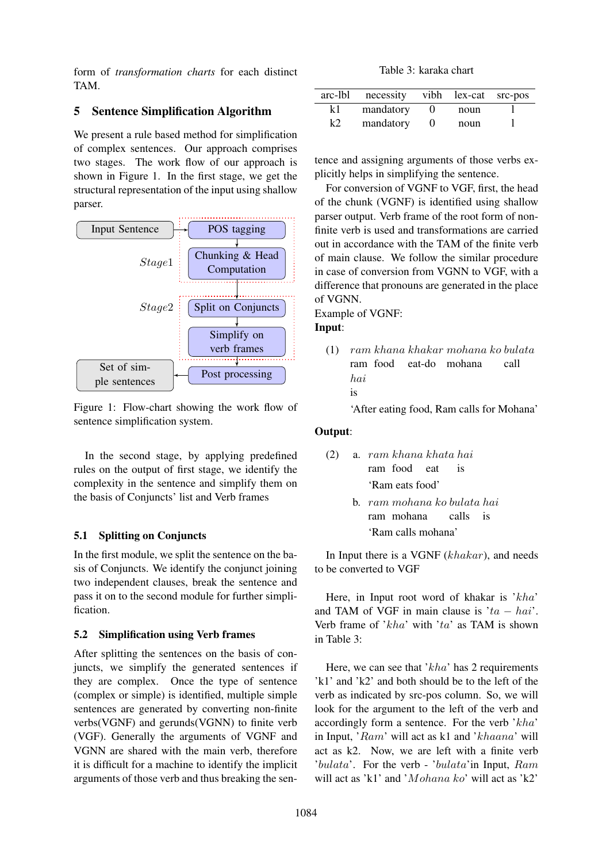form of *transformation charts* for each distinct TAM.

# 5 Sentence Simplification Algorithm

We present a rule based method for simplification of complex sentences. Our approach comprises two stages. The work flow of our approach is shown in Figure 1. In the first stage, we get the structural representation of the input using shallow parser.



Figure 1: Flow-chart showing the work flow of sentence simplification system.

In the second stage, by applying predefined rules on the output of first stage, we identify the complexity in the sentence and simplify them on the basis of Conjuncts' list and Verb frames

# 5.1 Splitting on Conjuncts

In the first module, we split the sentence on the basis of Conjuncts. We identify the conjunct joining two independent clauses, break the sentence and pass it on to the second module for further simplification.

# 5.2 Simplification using Verb frames

After splitting the sentences on the basis of conjuncts, we simplify the generated sentences if they are complex. Once the type of sentence (complex or simple) is identified, multiple simple sentences are generated by converting non-finite verbs(VGNF) and gerunds(VGNN) to finite verb (VGF). Generally the arguments of VGNF and VGNN are shared with the main verb, therefore it is difficult for a machine to identify the implicit arguments of those verb and thus breaking the sen-

Table 3: karaka chart

| arc-lbl | necessity vibh lex-cat src-pos |      |  |
|---------|--------------------------------|------|--|
| k1      | mandatory                      | noun |  |
| k2      | mandatory                      | noun |  |

tence and assigning arguments of those verbs explicitly helps in simplifying the sentence.

For conversion of VGNF to VGF, first, the head of the chunk (VGNF) is identified using shallow parser output. Verb frame of the root form of nonfinite verb is used and transformations are carried out in accordance with the TAM of the finite verb of main clause. We follow the similar procedure in case of conversion from VGNN to VGF, with a difference that pronouns are generated in the place of VGNN.

Example of VGNF:

## Input:

(1) ram khana khakar mohana ko bulata ram food eat-do mohana call hai is

'After eating food, Ram calls for Mohana'

# Output:

|                 |  |  | $(2)$ a. ram khana khata hai |  |
|-----------------|--|--|------------------------------|--|
|                 |  |  | ram food eat is              |  |
| 'Ram eats food' |  |  |                              |  |

b. ram mohana ko bulata hai ram mohana calls is 'Ram calls mohana'

In Input there is a VGNF (khakar), and needs to be converted to VGF

Here, in Input root word of khakar is 'kha' and TAM of VGF in main clause is ' $ta - hai$ '. Verb frame of  $'kha'$  with 'ta' as TAM is shown in Table 3:

Here, we can see that ' $kha$ ' has 2 requirements 'k1' and 'k2' and both should be to the left of the verb as indicated by src-pos column. So, we will look for the argument to the left of the verb and accordingly form a sentence. For the verb 'kha' in Input, 'Ram' will act as k1 and 'khaana' will act as k2. Now, we are left with a finite verb 'bulata'. For the verb - 'bulata'in Input, Ram will act as 'k1' and 'Mohana ko' will act as 'k2'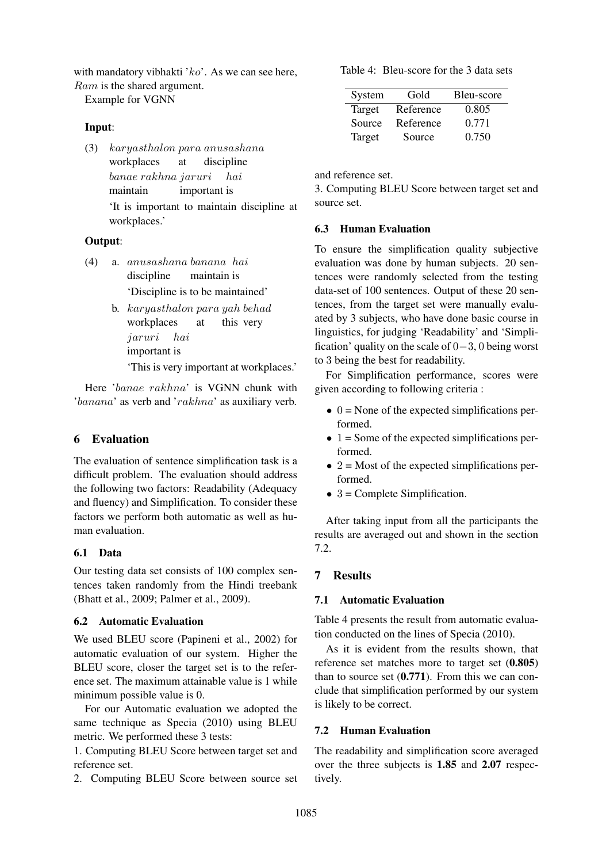with mandatory vibhakti ' $ko$ '. As we can see here,

Ram is the shared argument.

Example for VGNN

## Input:

(3) karyasthalon para anusashana workplaces at discipline banae rakhna jaruri maintain important is hai 'It is important to maintain discipline at workplaces.'

## Output:

- (4) a. anusashana banana hai discipline maintain is 'Discipline is to be maintained'
	- b. karyasthalon para yah behad workplaces at this very jaruri hai important is

'This is very important at workplaces.'

Here 'banae rakhna' is VGNN chunk with 'banana' as verb and 'rakhna' as auxiliary verb.

# 6 Evaluation

The evaluation of sentence simplification task is a difficult problem. The evaluation should address the following two factors: Readability (Adequacy and fluency) and Simplification. To consider these factors we perform both automatic as well as human evaluation.

# 6.1 Data

Our testing data set consists of 100 complex sentences taken randomly from the Hindi treebank (Bhatt et al., 2009; Palmer et al., 2009).

# 6.2 Automatic Evaluation

We used BLEU score (Papineni et al., 2002) for automatic evaluation of our system. Higher the BLEU score, closer the target set is to the reference set. The maximum attainable value is 1 while minimum possible value is 0.

For our Automatic evaluation we adopted the same technique as Specia (2010) using BLEU metric. We performed these 3 tests:

1. Computing BLEU Score between target set and reference set.

2. Computing BLEU Score between source set

Table 4: Bleu-score for the 3 data sets

| System | Gold      | Bleu-score |
|--------|-----------|------------|
| Target | Reference | 0.805      |
| Source | Reference | 0.771      |
| Target | Source    | 0.750      |

and reference set.

3. Computing BLEU Score between target set and source set.

# 6.3 Human Evaluation

To ensure the simplification quality subjective evaluation was done by human subjects. 20 sentences were randomly selected from the testing data-set of 100 sentences. Output of these 20 sentences, from the target set were manually evaluated by 3 subjects, who have done basic course in linguistics, for judging 'Readability' and 'Simplification' quality on the scale of 0−3, 0 being worst to 3 being the best for readability.

For Simplification performance, scores were given according to following criteria :

- $\bullet$  0 = None of the expected simplifications performed.
- $\bullet$  1 = Some of the expected simplifications performed.
- $2 =$ Most of the expected simplifications performed.
- $\bullet$  3 = Complete Simplification.

After taking input from all the participants the results are averaged out and shown in the section 7.2.

# 7 Results

# 7.1 Automatic Evaluation

Table 4 presents the result from automatic evaluation conducted on the lines of Specia (2010).

As it is evident from the results shown, that reference set matches more to target set (0.805) than to source set  $(0.771)$ . From this we can conclude that simplification performed by our system is likely to be correct.

# 7.2 Human Evaluation

The readability and simplification score averaged over the three subjects is 1.85 and 2.07 respectively.